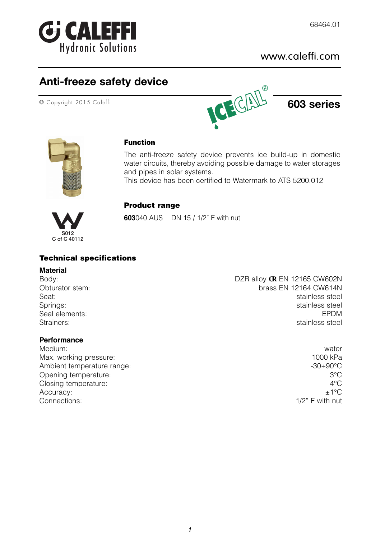

### www.caleffi.com

## **Anti-freeze safety device**





#### **Function**

The anti-freeze safety device prevents ice build-up in domestic water circuits, thereby avoiding possible damage to water storages and pipes in solar systems.

This device has been certified to Watermark to ATS 5200.012



#### **Product range**

**603**040 AUS DN 15 / 1/2" F with nut

#### **Technical specifications**

#### **Material**

# **Performance**

Medium: water Max. working pressure: 1000 kPa Ambient temperature range:  $-30 \div 90^{\circ}$ C Opening temperature: 3°C Closing temperature:  $4^{\circ}$ C Accuracy:  $\pm 1^{\circ}C$ Connections: 1/2" F with nut

Body: Body: **DZR alloy <b>CR** EN 12165 CW602N Obturator stem: brass EN 12164 CW614N Seat: stainless steel Springs: stainless steel Seal elements: EPDM Strainers: stainless steel